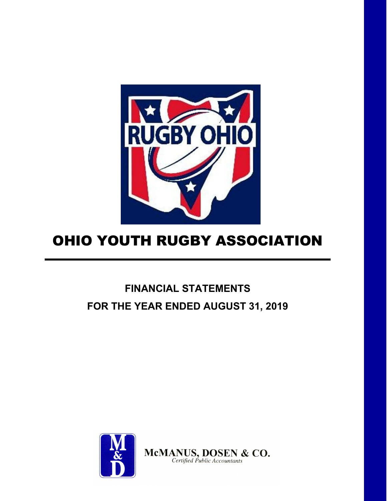

# **FINANCIAL STATEMENTS FOR THE YEAR ENDED AUGUST 31, 2019**

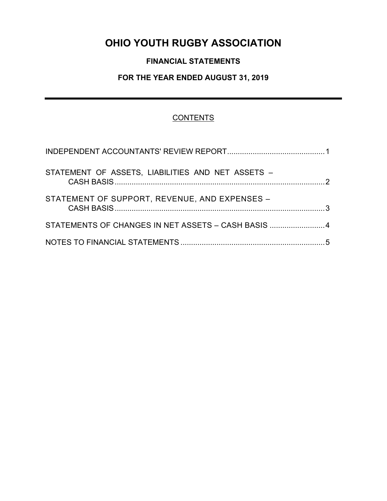# **FINANCIAL STATEMENTS**

# **FOR THE YEAR ENDED AUGUST 31, 2019**

# **CONTENTS**

| STATEMENT OF ASSETS, LIABILITIES AND NET ASSETS -  |  |
|----------------------------------------------------|--|
| STATEMENT OF SUPPORT, REVENUE, AND EXPENSES -      |  |
| STATEMENTS OF CHANGES IN NET ASSETS - CASH BASIS 4 |  |
|                                                    |  |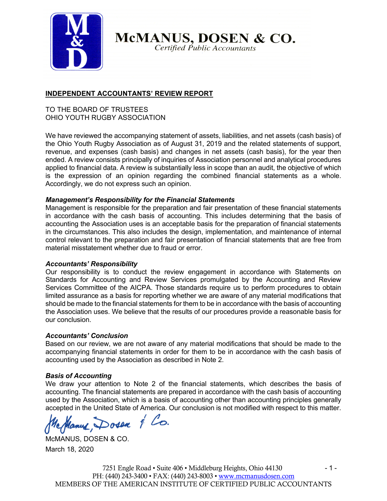

McMANUS, DOSEN & CO.

Certified Public Accountants

# **INDEPENDENT ACCOUNTANTS' REVIEW REPORT**

## TO THE BOARD OF TRUSTEES OHIO YOUTH RUGBY ASSOCIATION

We have reviewed the accompanying statement of assets, liabilities, and net assets (cash basis) of the Ohio Youth Rugby Association as of August 31, 2019 and the related statements of support, revenue, and expenses (cash basis) and changes in net assets (cash basis), for the year then ended. A review consists principally of inquiries of Association personnel and analytical procedures applied to financial data. A review is substantially less in scope than an audit, the objective of which is the expression of an opinion regarding the combined financial statements as a whole. Accordingly, we do not express such an opinion.

### *Management's Responsibility for the Financial Statements*

Management is responsible for the preparation and fair presentation of these financial statements in accordance with the cash basis of accounting. This includes determining that the basis of accounting the Association uses is an acceptable basis for the preparation of financial statements in the circumstances. This also includes the design, implementation, and maintenance of internal control relevant to the preparation and fair presentation of financial statements that are free from material misstatement whether due to fraud or error.

### *Accountants' Responsibility*

Our responsibility is to conduct the review engagement in accordance with Statements on Standards for Accounting and Review Services promulgated by the Accounting and Review Services Committee of the AICPA. Those standards require us to perform procedures to obtain limited assurance as a basis for reporting whether we are aware of any material modifications that should be made to the financial statements for them to be in accordance with the basis of accounting the Association uses. We believe that the results of our procedures provide a reasonable basis for our conclusion.

### *Accountants' Conclusion*

Based on our review, we are not aware of any material modifications that should be made to the accompanying financial statements in order for them to be in accordance with the cash basis of accounting used by the Association as described in Note 2.

### *Basis of Accounting*

We draw your attention to Note 2 of the financial statements, which describes the basis of accounting. The financial statements are prepared in accordance with the cash basis of accounting used by the Association, which is a basis of accounting other than accounting principles generally accepted in the United State of America. Our conclusion is not modified with respect to this matter.

Hanne Dosen & Co.

McMANUS, DOSEN & CO. March 18, 2020

7251 Engle Road • Suite 406 • Middleburg Heights, Ohio 44130 - 1 -PH: (440) 243-3400 • FAX: (440) 243-8003 • www.mcmanusdosen.com MEMBERS OF THE AMERICAN INSTITUTE OF CERTIFIED PUBLIC ACCOUNTANTS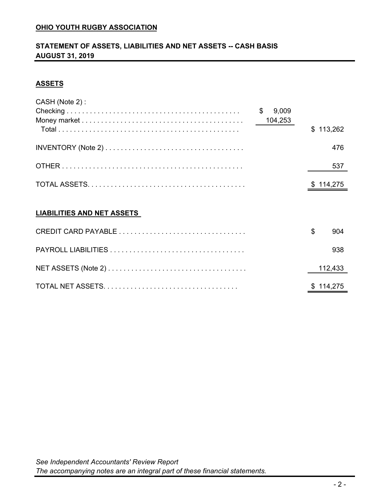# **STATEMENT OF ASSETS, LIABILITIES AND NET ASSETS -- CASH BASIS AUGUST 31, 2019**

# **ASSETS**

| CASH (Note 2):                    |             |                |           |
|-----------------------------------|-------------|----------------|-----------|
|                                   | \$<br>9,009 |                |           |
|                                   | 104,253     |                |           |
|                                   |             | $\mathbb{S}^-$ | 113,262   |
|                                   |             |                | 476       |
|                                   |             |                | 537       |
|                                   |             |                | \$114,275 |
|                                   |             |                |           |
| <b>LIABILITIES AND NET ASSETS</b> |             |                |           |
|                                   |             | \$             | 904       |
|                                   |             |                | 938       |

| 112.433   |
|-----------|
| \$114.275 |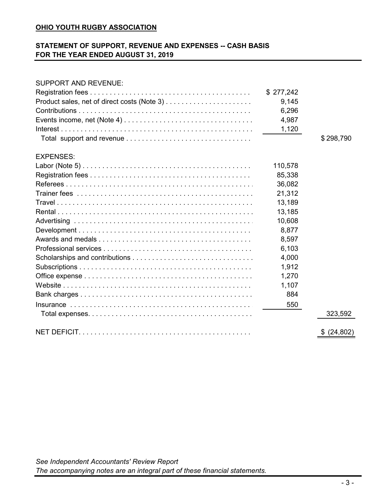# **STATEMENT OF SUPPORT, REVENUE AND EXPENSES -- CASH BASIS FOR THE YEAR ENDED AUGUST 31, 2019**

#### SUPPORT AND REVENUE:

|                  | \$277,242 |             |
|------------------|-----------|-------------|
|                  | 9,145     |             |
|                  | 6,296     |             |
|                  | 4,987     |             |
|                  | 1,120     |             |
|                  |           | \$298,790   |
| <b>EXPENSES:</b> |           |             |
|                  | 110,578   |             |
|                  | 85,338    |             |
|                  | 36,082    |             |
|                  | 21,312    |             |
|                  | 13,189    |             |
|                  | 13,185    |             |
|                  | 10,608    |             |
|                  | 8,877     |             |
|                  | 8,597     |             |
|                  | 6,103     |             |
|                  | 4,000     |             |
|                  | 1,912     |             |
|                  | 1,270     |             |
|                  | 1,107     |             |
|                  | 884       |             |
|                  | 550       |             |
|                  |           | 323,592     |
|                  |           | \$ (24,802) |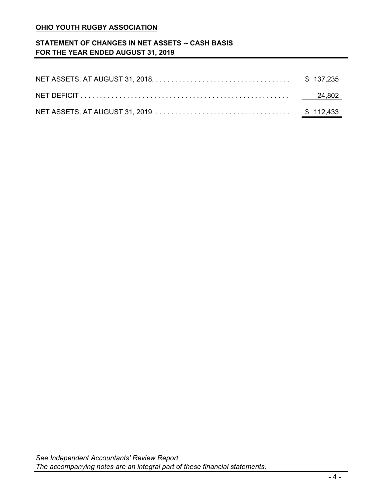# **STATEMENT OF CHANGES IN NET ASSETS -- CASH BASIS FOR THE YEAR ENDED AUGUST 31, 2019**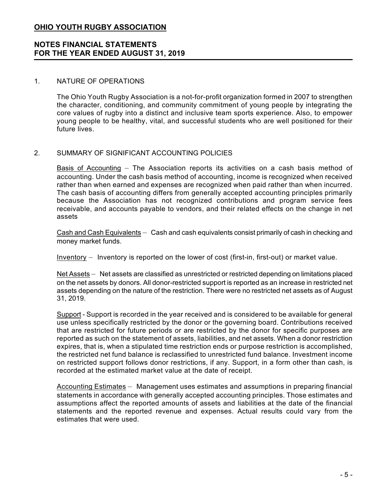# **NOTES FINANCIAL STATEMENTS FOR THE YEAR ENDED AUGUST 31, 2019**

#### 1. NATURE OF OPERATIONS

The Ohio Youth Rugby Association is a not-for-profit organization formed in 2007 to strengthen the character, conditioning, and community commitment of young people by integrating the core values of rugby into a distinct and inclusive team sports experience. Also, to empower young people to be healthy, vital, and successful students who are well positioned for their future lives.

### 2. SUMMARY OF SIGNIFICANT ACCOUNTING POLICIES

Basis of Accounting — The Association reports its activities on a cash basis method of accounting. Under the cash basis method of accounting, income is recognized when received rather than when earned and expenses are recognized when paid rather than when incurred. The cash basis of accounting differs from generally accepted accounting principles primarily because the Association has not recognized contributions and program service fees receivable, and accounts payable to vendors, and their related effects on the change in net assets

Cash and Cash Equivalents — Cash and cash equivalents consist primarily of cash in checking and money market funds.

Inventory — Inventory is reported on the lower of cost (first-in, first-out) or market value.

Net Assets — Net assets are classified as unrestricted or restricted depending on limitations placed on the net assets by donors. All donor-restricted support is reported as an increase in restricted net assets depending on the nature of the restriction. There were no restricted net assets as of August 31, 2019.

Support - Support is recorded in the year received and is considered to be available for general use unless specifically restricted by the donor or the governing board. Contributions received that are restricted for future periods or are restricted by the donor for specific purposes are reported as such on the statement of assets, liabilities, and net assets. When a donor restriction expires, that is, when a stipulated time restriction ends or purpose restriction is accomplished, the restricted net fund balance is reclassified to unrestricted fund balance. Investment income on restricted support follows donor restrictions, if any. Support, in a form other than cash, is recorded at the estimated market value at the date of receipt.

Accounting Estimates — Management uses estimates and assumptions in preparing financial statements in accordance with generally accepted accounting principles. Those estimates and assumptions affect the reported amounts of assets and liabilities at the date of the financial statements and the reported revenue and expenses. Actual results could vary from the estimates that were used.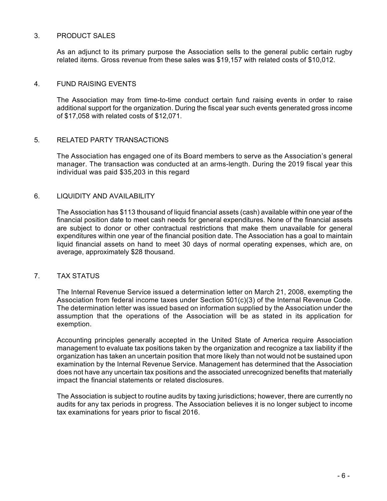#### 3. PRODUCT SALES

As an adjunct to its primary purpose the Association sells to the general public certain rugby related items. Gross revenue from these sales was \$19,157 with related costs of \$10,012.

#### 4. FUND RAISING EVENTS

The Association may from time-to-time conduct certain fund raising events in order to raise additional support for the organization. During the fiscal year such events generated gross income of \$17,058 with related costs of \$12,071.

#### 5. RELATED PARTY TRANSACTIONS

The Association has engaged one of its Board members to serve as the Association's general manager. The transaction was conducted at an arms-length. During the 2019 fiscal year this individual was paid \$35,203 in this regard

#### 6. LIQUIDITY AND AVAILABILITY

The Association has \$113 thousand of liquid financial assets (cash) available within one year of the financial position date to meet cash needs for general expenditures. None of the financial assets are subject to donor or other contractual restrictions that make them unavailable for general expenditures within one year of the financial position date. The Association has a goal to maintain liquid financial assets on hand to meet 30 days of normal operating expenses, which are, on average, approximately \$28 thousand.

#### 7. TAX STATUS

The Internal Revenue Service issued a determination letter on March 21, 2008, exempting the Association from federal income taxes under Section 501(c)(3) of the Internal Revenue Code. The determination letter was issued based on information supplied by the Association under the assumption that the operations of the Association will be as stated in its application for exemption.

Accounting principles generally accepted in the United State of America require Association management to evaluate tax positions taken by the organization and recognize a tax liability if the organization has taken an uncertain position that more likely than not would not be sustained upon examination by the Internal Revenue Service. Management has determined that the Association does not have any uncertain tax positions and the associated unrecognized benefits that materially impact the financial statements or related disclosures.

The Association is subject to routine audits by taxing jurisdictions; however, there are currently no audits for any tax periods in progress. The Association believes it is no longer subject to income tax examinations for years prior to fiscal 2016.